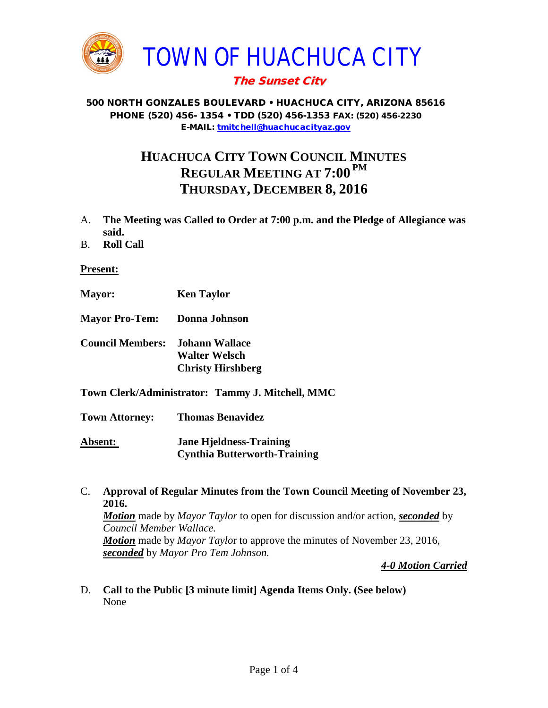

# The Sunset City

#### 500 NORTH GONZALES BOULEVARD • HUACHUCA CITY, ARIZONA 85616 PHONE (520) 456- 1354 • TDD (520) 456-1353 FAX: (520) 456-2230 E-MAIL: [tmitchell@huachucacityaz.gov](mailto:tmitchell@huachucacityaz.gov)

# **HUACHUCA CITY TOWN COUNCIL MINUTES REGULAR MEETING AT 7:00 PM THURSDAY, DECEMBER 8, 2016**

- A. **The Meeting was Called to Order at 7:00 p.m. and the Pledge of Allegiance was said.**
- B. **Roll Call**

#### **Present:**

- **Mayor: Ken Taylor**
- **Mayor Pro-Tem: Donna Johnson**
- **Council Members: Johann Wallace Walter Welsch Christy Hirshberg**
- **Town Clerk/Administrator: Tammy J. Mitchell, MMC**

**Town Attorney: Thomas Benavidez Absent: Jane Hjeldness-Training**

**Cynthia Butterworth-Training**

C. **Approval of Regular Minutes from the Town Council Meeting of November 23, 2016.** *Motion* made by *Mayor Taylor* to open for discussion and/or action, *seconded* by *Council Member Wallace. Motion* made by *Mayor Taylo*r to approve the minutes of November 23, 2016, *seconded* by *Mayor Pro Tem Johnson.* 

*4-0 Motion Carried*

D. **Call to the Public [3 minute limit] Agenda Items Only. (See below)** None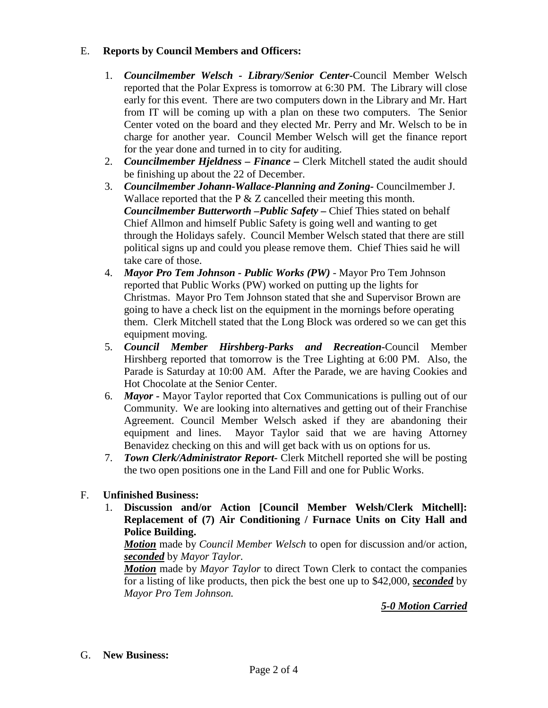### E. **Reports by Council Members and Officers:**

- 1. *Councilmember Welsch - Library/Senior Center***-**Council Member Welsch reported that the Polar Express is tomorrow at 6:30 PM. The Library will close early for this event. There are two computers down in the Library and Mr. Hart from IT will be coming up with a plan on these two computers. The Senior Center voted on the board and they elected Mr. Perry and Mr. Welsch to be in charge for another year. Council Member Welsch will get the finance report for the year done and turned in to city for auditing.
- 2. *Councilmember Hjeldness – Finance –* Clerk Mitchell stated the audit should be finishing up about the 22 of December.
- 3. *Councilmember Johann-Wallace-Planning and Zoning***-** Councilmember J. Wallace reported that the P & Z cancelled their meeting this month. *Councilmember Butterworth –Public Safety –* Chief Thies stated on behalf Chief Allmon and himself Public Safety is going well and wanting to get through the Holidays safely. Council Member Welsch stated that there are still political signs up and could you please remove them. Chief Thies said he will take care of those.
- 4. *Mayor Pro Tem Johnson - Public Works (PW) -* Mayor Pro Tem Johnson reported that Public Works (PW) worked on putting up the lights for Christmas. Mayor Pro Tem Johnson stated that she and Supervisor Brown are going to have a check list on the equipment in the mornings before operating them. Clerk Mitchell stated that the Long Block was ordered so we can get this equipment moving.
- 5. *Council Member Hirshberg-Parks and Recreation***-**Council Member Hirshberg reported that tomorrow is the Tree Lighting at 6:00 PM. Also, the Parade is Saturday at 10:00 AM. After the Parade, we are having Cookies and Hot Chocolate at the Senior Center.
- 6. *Mayor -* Mayor Taylor reported that Cox Communications is pulling out of our Community. We are looking into alternatives and getting out of their Franchise Agreement. Council Member Welsch asked if they are abandoning their equipment and lines. Mayor Taylor said that we are having Attorney Benavidez checking on this and will get back with us on options for us.
- 7. *Town Clerk/Administrator Report-* Clerk Mitchell reported she will be posting the two open positions one in the Land Fill and one for Public Works.

## F. **Unfinished Business:**

1. **Discussion and/or Action [Council Member Welsh/Clerk Mitchell]: Replacement of (7) Air Conditioning / Furnace Units on City Hall and Police Building.**

*Motion* made by *Council Member Welsch* to open for discussion and/or action, *seconded* by *Mayor Taylor.*

*Motion* made by *Mayor Taylor* to direct Town Clerk to contact the companies for a listing of like products, then pick the best one up to \$42,000, *seconded* by *Mayor Pro Tem Johnson.*

*5-0 Motion Carried*

G. **New Business:**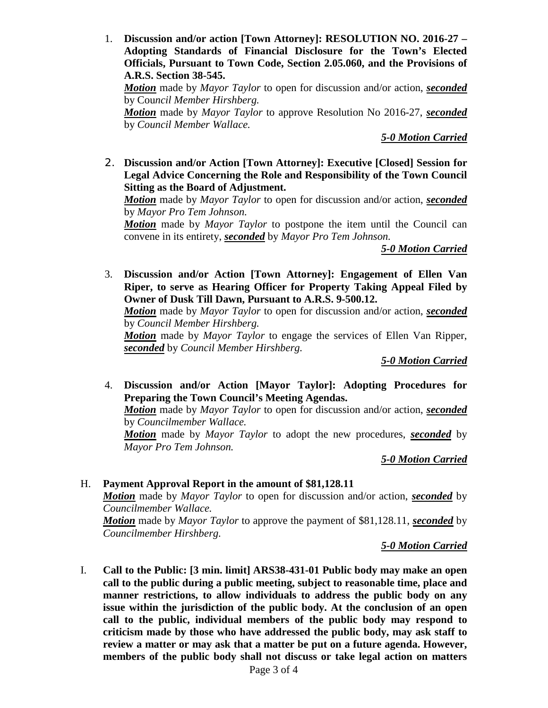1. **Discussion and/or action [Town Attorney]: RESOLUTION NO. 2016-27 – Adopting Standards of Financial Disclosure for the Town's Elected Officials, Pursuant to Town Code, Section 2.05.060, and the Provisions of A.R.S. Section 38-545.**

*Motion* made by *Mayor Taylor* to open for discussion and/or action, *seconded* by Cou*ncil Member Hirshberg.*

*Motion* made by *Mayor Taylor* to approve Resolution No 2016-27, *seconded* by *Council Member Wallace.*

*5-0 Motion Carried*

2. **Discussion and/or Action [Town Attorney]: Executive [Closed] Session for Legal Advice Concerning the Role and Responsibility of the Town Council Sitting as the Board of Adjustment.**

*Motion* made by *Mayor Taylor* to open for discussion and/or action, *seconded* by *Mayor Pro Tem Johnson.*

*Motion* made by *Mayor Taylor* to postpone the item until the Council can convene in its entirety, *seconded* by *Mayor Pro Tem Johnson.*

*5-0 Motion Carried*

3. **Discussion and/or Action [Town Attorney]: Engagement of Ellen Van Riper, to serve as Hearing Officer for Property Taking Appeal Filed by Owner of Dusk Till Dawn, Pursuant to A.R.S. 9-500.12.**

*Motion* made by *Mayor Taylor* to open for discussion and/or action, *seconded* by *Council Member Hirshberg.*

*Motion* made by *Mayor Taylor* to engage the services of Ellen Van Ripper, *seconded* by *Council Member Hirshberg.*

*5-0 Motion Carried*

4. **Discussion and/or Action [Mayor Taylor]: Adopting Procedures for Preparing the Town Council's Meeting Agendas.**

*Motion* made by *Mayor Taylor* to open for discussion and/or action, *seconded* by *Councilmember Wallace.*

*Motion* made by *Mayor Taylor* to adopt the new procedures, *seconded* by *Mayor Pro Tem Johnson.*

*5-0 Motion Carried*

H. **Payment Approval Report in the amount of \$81,128.11** *Motion* made by *Mayor Taylor* to open for discussion and/or action, *seconded* by *Councilmember Wallace. Motion* made by *Mayor Taylor* to approve the payment of \$81,128.11, *seconded* by *Councilmember Hirshberg.*

*5-0 Motion Carried*

I. **Call to the Public: [3 min. limit] ARS38-431-01 Public body may make an open call to the public during a public meeting, subject to reasonable time, place and manner restrictions, to allow individuals to address the public body on any issue within the jurisdiction of the public body. At the conclusion of an open call to the public, individual members of the public body may respond to criticism made by those who have addressed the public body, may ask staff to review a matter or may ask that a matter be put on a future agenda. However, members of the public body shall not discuss or take legal action on matters**